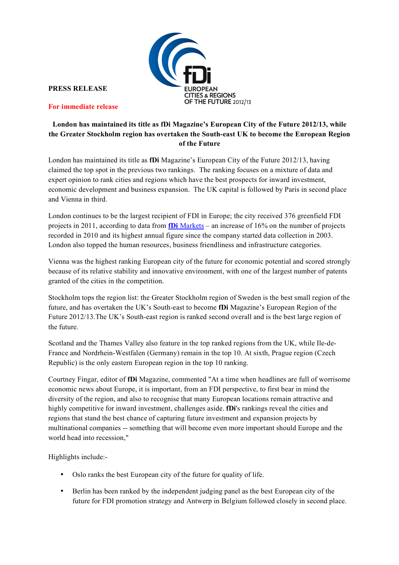

**PRESS RELEASE**

**For immediate release** 

# **London has maintained its title as fDi Magazine's European City of the Future 2012/13, while the Greater Stockholm region has overtaken the South-east UK to become the European Region of the Future**

London has maintained its title as **fDi** Magazine's European City of the Future 2012/13, having claimed the top spot in the previous two rankings. The ranking focuses on a mixture of data and expert opinion to rank cities and regions which have the best prospects for inward investment, economic development and business expansion. The UK capital is followed by Paris in second place and Vienna in third.

London continues to be the largest recipient of FDI in Europe; the city received 376 greenfield FDI projects in 2011, according to data from **fDi** Markets – an increase of 16% on the number of projects recorded in 2010 and its highest annual figure since the company started data collection in 2003. London also topped the human resources, business friendliness and infrastructure categories.

Vienna was the highest ranking European city of the future for economic potential and scored strongly because of its relative stability and innovative environment, with one of the largest number of patents granted of the cities in the competition.

Stockholm tops the region list: the Greater Stockholm region of Sweden is the best small region of the future, and has overtaken the UK's South-east to become **fDi** Magazine's European Region of the Future 2012/13.The UK's South-east region is ranked second overall and is the best large region of the future.

Scotland and the Thames Valley also feature in the top ranked regions from the UK, while Ile-de-France and Nordrhein-Westfalen (Germany) remain in the top 10. At sixth, Prague region (Czech Republic) is the only eastern European region in the top 10 ranking.

Courtney Fingar, editor of **fDi** Magazine, commented "At a time when headlines are full of worrisome economic news about Europe, it is important, from an FDI perspective, to first bear in mind the diversity of the region, and also to recognise that many European locations remain attractive and highly competitive for inward investment, challenges aside. **fDi**'s rankings reveal the cities and regions that stand the best chance of capturing future investment and expansion projects by multinational companies -- something that will become even more important should Europe and the world head into recession,"

Highlights include:-

- Oslo ranks the best European city of the future for quality of life.
- Berlin has been ranked by the independent judging panel as the best European city of the future for FDI promotion strategy and Antwerp in Belgium followed closely in second place.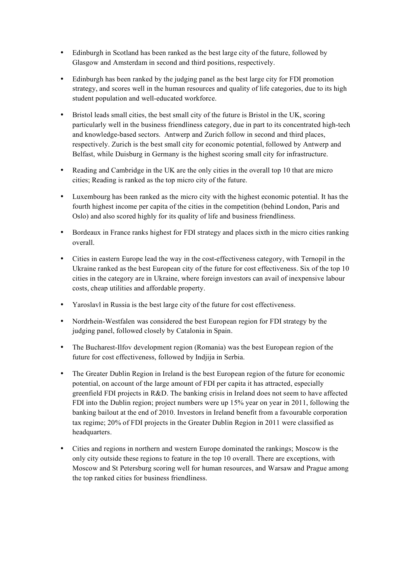- Edinburgh in Scotland has been ranked as the best large city of the future, followed by Glasgow and Amsterdam in second and third positions, respectively.
- Edinburgh has been ranked by the judging panel as the best large city for FDI promotion strategy, and scores well in the human resources and quality of life categories, due to its high student population and well-educated workforce.
- Bristol leads small cities, the best small city of the future is Bristol in the UK, scoring particularly well in the business friendliness category, due in part to its concentrated high-tech and knowledge-based sectors. Antwerp and Zurich follow in second and third places, respectively. Zurich is the best small city for economic potential, followed by Antwerp and Belfast, while Duisburg in Germany is the highest scoring small city for infrastructure.
- Reading and Cambridge in the UK are the only cities in the overall top 10 that are micro cities; Reading is ranked as the top micro city of the future.
- Luxembourg has been ranked as the micro city with the highest economic potential. It has the fourth highest income per capita of the cities in the competition (behind London, Paris and Oslo) and also scored highly for its quality of life and business friendliness.
- Bordeaux in France ranks highest for FDI strategy and places sixth in the micro cities ranking overall.
- Cities in eastern Europe lead the way in the cost-effectiveness category, with Ternopil in the Ukraine ranked as the best European city of the future for cost effectiveness. Six of the top 10 cities in the category are in Ukraine, where foreign investors can avail of inexpensive labour costs, cheap utilities and affordable property.
- Yaroslavl in Russia is the best large city of the future for cost effectiveness.
- Nordrhein-Westfalen was considered the best European region for FDI strategy by the judging panel, followed closely by Catalonia in Spain.
- The Bucharest-Ilfov development region (Romania) was the best European region of the future for cost effectiveness, followed by Indjija in Serbia.
- The Greater Dublin Region in Ireland is the best European region of the future for economic potential, on account of the large amount of FDI per capita it has attracted, especially greenfield FDI projects in R&D. The banking crisis in Ireland does not seem to have affected FDI into the Dublin region; project numbers were up 15% year on year in 2011, following the banking bailout at the end of 2010. Investors in Ireland benefit from a favourable corporation tax regime; 20% of FDI projects in the Greater Dublin Region in 2011 were classified as headquarters.
- Cities and regions in northern and western Europe dominated the rankings; Moscow is the only city outside these regions to feature in the top 10 overall. There are exceptions, with Moscow and St Petersburg scoring well for human resources, and Warsaw and Prague among the top ranked cities for business friendliness.